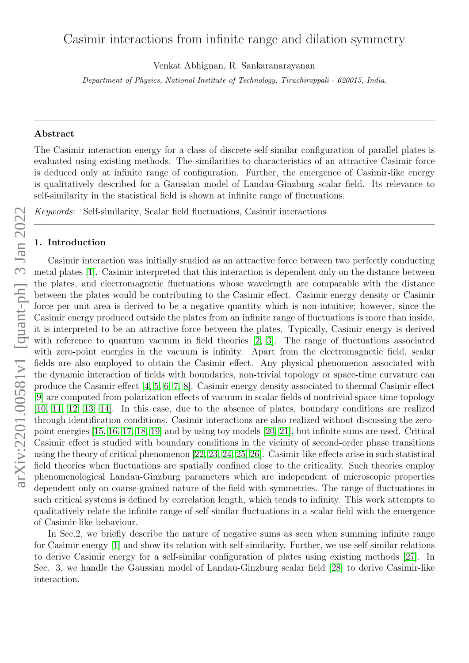# Casimir interactions from infinite range and dilation symmetry

Venkat Abhignan, R. Sankaranarayanan

Department of Physics, National Institute of Technology, Tiruchirappali - 620015, India.

# Abstract

The Casimir interaction energy for a class of discrete self-similar configuration of parallel plates is evaluated using existing methods. The similarities to characteristics of an attractive Casimir force is deduced only at infinite range of configuration. Further, the emergence of Casimir-like energy is qualitatively described for a Gaussian model of Landau-Ginzburg scalar field. Its relevance to self-similarity in the statistical field is shown at infinite range of fluctuations.

Keywords: Self-similarity, Scalar field fluctuations, Casimir interactions

# 1. Introduction

Casimir interaction was initially studied as an attractive force between two perfectly conducting metal plates [\[1\]](#page-5-0). Casimir interpreted that this interaction is dependent only on the distance between the plates, and electromagnetic fluctuations whose wavelength are comparable with the distance between the plates would be contributing to the Casimir effect. Casimir energy density or Casimir force per unit area is derived to be a negative quantity which is non-intuitive; however, since the Casimir energy produced outside the plates from an infinite range of fluctuations is more than inside, it is interpreted to be an attractive force between the plates. Typically, Casimir energy is derived with reference to quantum vacuum in field theories [\[2,](#page-5-1) [3\]](#page-5-2). The range of fluctuations associated with zero-point energies in the vacuum is infinity. Apart from the electromagnetic field, scalar fields are also employed to obtain the Casimir effect. Any physical phenomenon associated with the dynamic interaction of fields with boundaries, non-trivial topology or space-time curvature can produce the Casimir effect [\[4,](#page-5-3) [5,](#page-6-0) [6,](#page-6-1) [7,](#page-6-2) [8\]](#page-6-3). Casimir energy density associated to thermal Casimir effect [\[9\]](#page-6-4) are computed from polarization effects of vacuum in scalar fields of nontrivial space-time topology [\[10,](#page-6-5) [11,](#page-6-6) [12,](#page-6-7) [13,](#page-6-8) [14\]](#page-6-9). In this case, due to the absence of plates, boundary conditions are realized through identification conditions. Casimir interactions are also realized without discussing the zeropoint energies [\[15,](#page-6-10) [16,](#page-6-11) [17,](#page-6-12) [18,](#page-6-13) [19\]](#page-6-14) and by using toy models [\[20,](#page-6-15) [21\]](#page-6-16), but infinite sums are used. Critical Casimir effect is studied with boundary conditions in the vicinity of second-order phase transitions using the theory of critical phenomenon [\[22,](#page-6-17) [23,](#page-6-18) [24,](#page-6-19) [25,](#page-6-20) [26\]](#page-6-21). Casimir-like effects arise in such statistical field theories when fluctuations are spatially confined close to the criticality. Such theories employ phenomenological Landau-Ginzburg parameters which are independent of microscopic properties dependent only on coarse-grained nature of the field with symmetries. The range of fluctuations in such critical systems is defined by correlation length, which tends to infinity. This work attempts to qualitatively relate the infinite range of self-similar fluctuations in a scalar field with the emergence of Casimir-like behaviour.

In Sec.2, we briefly describe the nature of negative sums as seen when summing infinite range for Casimir energy [\[1\]](#page-5-0) and show its relation with self-similarity. Further, we use self-similar relations to derive Casimir energy for a self-similar configuration of plates using existing methods [\[27\]](#page-6-22). In Sec. 3, we handle the Gaussian model of Landau-Ginzburg scalar field [\[28\]](#page-7-0) to derive Casimir-like interaction.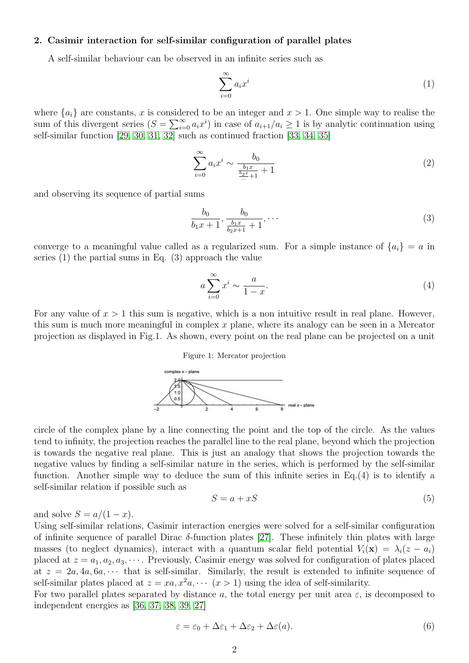# 2. Casimir interaction for self-similar configuration of parallel plates

A self-similar behaviour can be observed in an infinite series such as

$$
\sum_{i=0}^{\infty} a_i x^i \tag{1}
$$

where  ${a_i}$  are constants, x is considered to be an integer and  $x > 1$ . One simple way to realise the sum of this divergent series  $(S = \sum_{i=0}^{\infty} a_i x^i)$  in case of  $a_{i+1}/a_i \ge 1$  is by analytic continuation using self-similar function [\[29,](#page-7-1) [30,](#page-7-2) [31,](#page-7-3) [32\]](#page-7-4) such as continued fraction [\[33,](#page-7-5) [34,](#page-7-6) [35\]](#page-7-7)

$$
\sum_{i=0}^{\infty} a_i x^i \sim \frac{b_0}{\frac{b_1 x}{\frac{b_2 x}{\dots} + 1} + 1} \tag{2}
$$

and observing its sequence of partial sums

$$
\frac{b_0}{b_1x+1}, \frac{b_0}{\frac{b_1x}{b_2x+1}+1}, \dots \tag{3}
$$

converge to a meaningful value called as a regularized sum. For a simple instance of  ${a_i} = a$  in series (1) the partial sums in Eq. (3) approach the value

$$
a\sum_{i=0}^{\infty}x^{i} \sim \frac{a}{1-x}.\tag{4}
$$

For any value of  $x > 1$  this sum is negative, which is a non intuitive result in real plane. However, this sum is much more meaningful in complex  $x$  plane, where its analogy can be seen in a Mercator projection as displayed in Fig.1. As shown, every point on the real plane can be projected on a unit

#### Figure 1: Mercator projection



circle of the complex plane by a line connecting the point and the top of the circle. As the values tend to infinity, the projection reaches the parallel line to the real plane, beyond which the projection is towards the negative real plane. This is just an analogy that shows the projection towards the negative values by finding a self-similar nature in the series, which is performed by the self-similar function. Another simple way to deduce the sum of this infinite series in Eq.(4) is to identify a self-similar relation if possible such as

$$
S = a + xS \tag{5}
$$

and solve  $S = a/(1-x)$ .

Using self-similar relations, Casimir interaction energies were solved for a self-similar configuration of infinite sequence of parallel Dirac  $\delta$ -function plates [\[27\]](#page-6-22). These infinitely thin plates with large masses (to neglect dynamics), interact with a quantum scalar field potential  $V_i(\mathbf{x}) = \lambda_i(z - a_i)$ placed at  $z = a_1, a_2, a_3, \cdots$ . Previously, Casimir energy was solved for configuration of plates placed at  $z = 2a, 4a, 6a, \cdots$  that is self-similar. Similarly, the result is extended to infinite sequence of self-similar plates placed at  $z = xa, x^2a, \cdots (x > 1)$  using the idea of self-similarity.

For two parallel plates separated by distance a, the total energy per unit area  $\varepsilon$ , is decomposed to independent energies as [\[36,](#page-7-8) [37,](#page-7-9) [38,](#page-7-10) [39,](#page-7-11) [27\]](#page-6-22)

$$
\varepsilon = \varepsilon_0 + \Delta \varepsilon_1 + \Delta \varepsilon_2 + \Delta \varepsilon (a). \tag{6}
$$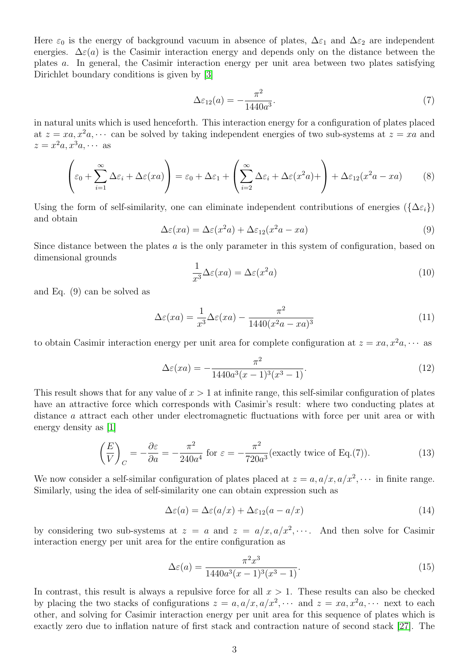Here  $\varepsilon_0$  is the energy of background vacuum in absence of plates,  $\Delta \varepsilon_1$  and  $\Delta \varepsilon_2$  are independent energies.  $\Delta \varepsilon$ (a) is the Casimir interaction energy and depends only on the distance between the plates a. In general, the Casimir interaction energy per unit area between two plates satisfying Dirichlet boundary conditions is given by [\[3\]](#page-5-2)

$$
\Delta \varepsilon_{12}(a) = -\frac{\pi^2}{1440a^3}.\tag{7}
$$

in natural units which is used henceforth. This interaction energy for a configuration of plates placed at  $z = xa, x^2a, \cdots$  can be solved by taking independent energies of two sub-systems at  $z = xa$  and  $z = x^2a, x^3a, \cdots$  as

$$
\left(\varepsilon_0 + \sum_{i=1}^{\infty} \Delta \varepsilon_i + \Delta \varepsilon(xa)\right) = \varepsilon_0 + \Delta \varepsilon_1 + \left(\sum_{i=2}^{\infty} \Delta \varepsilon_i + \Delta \varepsilon(x^2 a) + \right) + \Delta \varepsilon_{12}(x^2 a - xa) \tag{8}
$$

Using the form of self-similarity, one can eliminate independent contributions of energies ( $\{\Delta \varepsilon_i\}$ ) and obtain

$$
\Delta \varepsilon(xa) = \Delta \varepsilon(x^2 a) + \Delta \varepsilon_{12}(x^2 a - xa)
$$
\n(9)

Since distance between the plates  $a$  is the only parameter in this system of configuration, based on dimensional grounds

$$
\frac{1}{x^3} \Delta \varepsilon(xa) = \Delta \varepsilon(x^2 a)
$$
\n(10)

and Eq. (9) can be solved as

$$
\Delta\varepsilon(xa) = \frac{1}{x^3} \Delta\varepsilon(xa) - \frac{\pi^2}{1440(x^2 - xa)^3}
$$
\n(11)

to obtain Casimir interaction energy per unit area for complete configuration at  $z = xa, x^2a, \cdots$  as

$$
\Delta \varepsilon(xa) = -\frac{\pi^2}{1440a^3(x-1)^3(x^3-1)}.\tag{12}
$$

This result shows that for any value of  $x > 1$  at infinite range, this self-similar configuration of plates have an attractive force which corresponds with Casimir's result: where two conducting plates at distance a attract each other under electromagnetic fluctuations with force per unit area or with energy density as [\[1\]](#page-5-0)

$$
\left(\frac{E}{V}\right)_C = -\frac{\partial \varepsilon}{\partial a} = -\frac{\pi^2}{240a^4} \text{ for } \varepsilon = -\frac{\pi^2}{720a^3} \text{(exactly twice of Eq.(7))}.
$$
 (13)

We now consider a self-similar configuration of plates placed at  $z = a, a/x, a/x^2, \cdots$  in finite range. Similarly, using the idea of self-similarity one can obtain expression such as

$$
\Delta \varepsilon(a) = \Delta \varepsilon(a/x) + \Delta \varepsilon_{12}(a - a/x) \tag{14}
$$

by considering two sub-systems at  $z = a$  and  $z = a/x, a/x^2, \cdots$ . And then solve for Casimir interaction energy per unit area for the entire configuration as

$$
\Delta \varepsilon(a) = \frac{\pi^2 x^3}{1440a^3(x-1)^3(x^3-1)}.
$$
\n(15)

In contrast, this result is always a repulsive force for all  $x > 1$ . These results can also be checked by placing the two stacks of configurations  $z = a, a/x, a/x^2, \cdots$  and  $z = xa, x^2a, \cdots$  next to each other, and solving for Casimir interaction energy per unit area for this sequence of plates which is exactly zero due to inflation nature of first stack and contraction nature of second stack [\[27\]](#page-6-22). The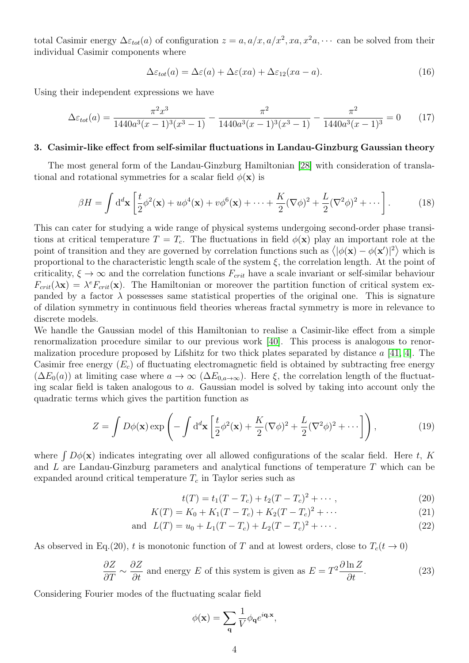total Casimir energy  $\Delta \varepsilon_{tot}(a)$  of configuration  $z = a, a/x, a/x^2, xa, x^2a, \cdots$  can be solved from their individual Casimir components where

$$
\Delta \varepsilon_{tot}(a) = \Delta \varepsilon(a) + \Delta \varepsilon(xa) + \Delta \varepsilon_{12}(xa - a). \tag{16}
$$

Using their independent expressions we have

$$
\Delta\varepsilon_{tot}(a) = \frac{\pi^2 x^3}{1440a^3(x-1)^3(x^3-1)} - \frac{\pi^2}{1440a^3(x-1)^3(x^3-1)} - \frac{\pi^2}{1440a^3(x-1)^3} = 0 \tag{17}
$$

#### 3. Casimir-like effect from self-similar fluctuations in Landau-Ginzburg Gaussian theory

The most general form of the Landau-Ginzburg Hamiltonian [\[28\]](#page-7-0) with consideration of translational and rotational symmetries for a scalar field  $\phi(\mathbf{x})$  is

$$
\beta H = \int \mathrm{d}^d \mathbf{x} \left[ \frac{t}{2} \phi^2(\mathbf{x}) + u \phi^4(\mathbf{x}) + v \phi^6(\mathbf{x}) + \dots + \frac{K}{2} (\nabla \phi)^2 + \frac{L}{2} (\nabla^2 \phi)^2 + \dots \right]. \tag{18}
$$

This can cater for studying a wide range of physical systems undergoing second-order phase transitions at critical temperature  $T = T_c$ . The fluctuations in field  $\phi(\mathbf{x})$  play an important role at the point of transition and they are governed by correlation functions such as  $\langle |\phi(\mathbf{x}) - \phi(\mathbf{x}')|^2 \rangle$  which is proportional to the characteristic length scale of the system  $\xi$ , the correlation length. At the point of criticality,  $\xi \to \infty$  and the correlation functions  $F_{crit}$  have a scale invariant or self-similar behaviour  $F_{crit}(\lambda x) = \lambda^e F_{crit}(x)$ . The Hamiltonian or moreover the partition function of critical system expanded by a factor  $\lambda$  possesses same statistical properties of the original one. This is signature of dilation symmetry in continuous field theories whereas fractal symmetry is more in relevance to discrete models.

We handle the Gaussian model of this Hamiltonian to realise a Casimir-like effect from a simple renormalization procedure similar to our previous work [\[40\]](#page-7-12). This process is analogous to renormalization procedure proposed by Lifshitz for two thick plates separated by distance  $a \neq 41, 4$ . The Casimir free energy  $(E_c)$  of fluctuating electromagnetic field is obtained by subtracting free energy  $(\Delta E_0(a))$  at limiting case where  $a \to \infty$   $(\Delta E_{0,a\to\infty})$ . Here  $\xi$ , the correlation length of the fluctuating scalar field is taken analogous to a. Gaussian model is solved by taking into account only the quadratic terms which gives the partition function as

$$
Z = \int D\phi(\mathbf{x}) \exp\left(-\int d^d \mathbf{x} \left[\frac{t}{2} \phi^2(\mathbf{x}) + \frac{K}{2} (\nabla \phi)^2 + \frac{L}{2} (\nabla^2 \phi)^2 + \cdots \right]\right),\tag{19}
$$

where  $\int D\phi(\mathbf{x})$  indicates integrating over all allowed configurations of the scalar field. Here t, K and L are Landau-Ginzburg parameters and analytical functions of temperature T which can be expanded around critical temperature  $T_c$  in Taylor series such as

$$
t(T) = t_1(T - T_c) + t_2(T - T_c)^2 + \cdots,
$$
\n(20)

$$
K(T) = K_0 + K_1(T - T_c) + K_2(T - T_c)^2 + \cdots
$$
\n(21)

and 
$$
L(T) = u_0 + L_1(T - T_c) + L_2(T - T_c)^2 + \cdots
$$
 (22)

As observed in Eq.(20), t is monotonic function of T and at lowest orders, close to  $T_c(t \to 0)$ 

$$
\frac{\partial Z}{\partial T} \sim \frac{\partial Z}{\partial t}
$$
 and energy E of this system is given as  $E = T^2 \frac{\partial \ln Z}{\partial t}$ . (23)

Considering Fourier modes of the fluctuating scalar field

$$
\phi(\mathbf{x}) = \sum_{\mathbf{q}} \frac{1}{V} \phi_{\mathbf{q}} e^{i\mathbf{q} \cdot \mathbf{x}},
$$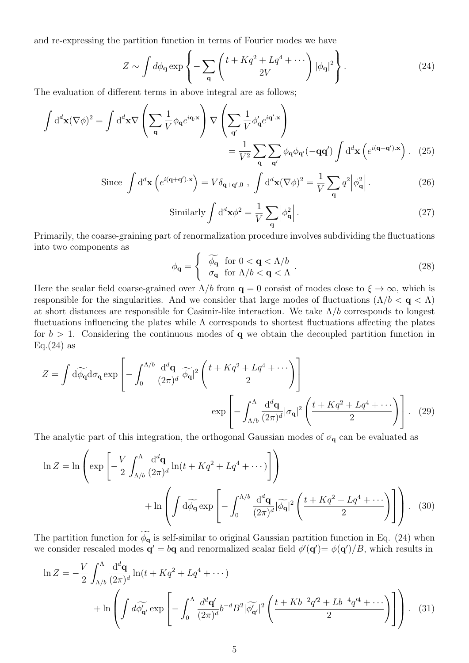and re-expressing the partition function in terms of Fourier modes we have

$$
Z \sim \int d\phi_{\mathbf{q}} \exp\left\{-\sum_{\mathbf{q}} \left(\frac{t + Kq^2 + Lq^4 + \cdots}{2V}\right) |\phi_{\mathbf{q}}|^2\right\}.
$$
 (24)

The evaluation of different terms in above integral are as follows;

$$
\int d^d \mathbf{x} (\nabla \phi)^2 = \int d^d \mathbf{x} \nabla \left( \sum_{\mathbf{q}} \frac{1}{V} \phi_{\mathbf{q}} e^{i \mathbf{q} \cdot \mathbf{x}} \right) \nabla \left( \sum_{\mathbf{q}'} \frac{1}{V} \phi_{\mathbf{q}}' e^{i \mathbf{q}' \cdot \mathbf{x}} \right) \n= \frac{1}{V^2} \sum_{\mathbf{q}} \sum_{\mathbf{q}'} \phi_{\mathbf{q}} \phi_{\mathbf{q}'} (-\mathbf{q} \mathbf{q}') \int d^d \mathbf{x} \left( e^{i (\mathbf{q} + \mathbf{q}') \cdot \mathbf{x}} \right). (25)
$$

Since 
$$
\int d^d \mathbf{x} \left( e^{i(\mathbf{q}+\mathbf{q}')\cdot \mathbf{x}} \right) = V \delta_{\mathbf{q}+\mathbf{q}',0} , \int d^d \mathbf{x} (\nabla \phi)^2 = \frac{1}{V} \sum_{\mathbf{q}} q^2 \left| \phi_{\mathbf{q}}^2 \right|.
$$
 (26)

Similarly 
$$
\int d^d \mathbf{x} \phi^2 = \frac{1}{V} \sum_{\mathbf{q}} \left| \phi_{\mathbf{q}}^2 \right|.
$$
 (27)

Primarily, the coarse-graining part of renormalization procedure involves subdividing the fluctuations into two components as

$$
\phi_{\mathbf{q}} = \begin{cases} \widetilde{\phi_{\mathbf{q}}} & \text{for } 0 < \mathbf{q} < \Lambda/b \\ \sigma_{\mathbf{q}} & \text{for } \Lambda/b < \mathbf{q} < \Lambda \end{cases} .
$$
 (28)

Here the scalar field coarse-grained over  $\Lambda/b$  from  $q = 0$  consist of modes close to  $\xi \to \infty$ , which is responsible for the singularities. And we consider that large modes of fluctuations ( $\Lambda/b < q < \Lambda$ ) at short distances are responsible for Casimir-like interaction. We take  $\Lambda/b$  corresponds to longest fluctuations influencing the plates while  $\Lambda$  corresponds to shortest fluctuations affecting the plates for  $b > 1$ . Considering the continuous modes of q we obtain the decoupled partition function in  $Eq.(24)$  as

$$
Z = \int d\widetilde{\phi_{\mathbf{q}}} d\sigma_{\mathbf{q}} \exp\left[-\int_0^{\Lambda/b} \frac{d^d \mathbf{q}}{(2\pi)^d} |\widetilde{\phi_{\mathbf{q}}}|^2 \left(\frac{t + Kq^2 + Lq^4 + \cdots}{2}\right)\right]
$$

$$
\exp\left[-\int_{\Lambda/b}^{\Lambda} \frac{d^d \mathbf{q}}{(2\pi)^d} |\sigma_{\mathbf{q}}|^2 \left(\frac{t + Kq^2 + Lq^4 + \cdots}{2}\right)\right].
$$
 (29)

The analytic part of this integration, the orthogonal Gaussian modes of  $\sigma_{\bf q}$  can be evaluated as

$$
\ln Z = \ln \left( \exp \left[ -\frac{V}{2} \int_{\Lambda/b}^{\Lambda} \frac{d^d \mathbf{q}}{(2\pi)^d} \ln(t + Kq^2 + Lq^4 + \cdots) \right] \right)
$$
  
+ 
$$
\ln \left( \int d\widetilde{\phi_\mathbf{q}} \exp \left[ -\int_0^{\Lambda/b} \frac{d^d \mathbf{q}}{(2\pi)^d} |\widetilde{\phi_\mathbf{q}}|^2 \left( \frac{t + Kq^2 + Lq^4 + \cdots}{2} \right) \right] \right). \quad (30)
$$

The partition function for  $\widetilde{\phi_q}$  is self-similar to original Gaussian partition function in Eq. (24) when we consider rescaled modes  $\mathbf{q}' = b\mathbf{q}$  and renormalized scalar field  $\phi'(\mathbf{q}') = \phi(\mathbf{q}')/B$ , which results in

$$
\ln Z = -\frac{V}{2} \int_{\Lambda/b}^{\Lambda} \frac{d^d \mathbf{q}}{(2\pi)^d} \ln(t + Kq^2 + Lq^4 + \cdots)
$$
  
+ 
$$
\ln \left( \int d\widetilde{\phi}_{\mathbf{q}'}^{\prime} \exp \left[ -\int_0^{\Lambda} \frac{d^d \mathbf{q}'}{(2\pi)^d} b^{-d} B^2 |\widetilde{\phi}_{\mathbf{q}'}^{\prime}|^2 \left( \frac{t + Kb^{-2} q'^2 + Lb^{-4} q'^4 + \cdots}{2} \right) \right] \right). \quad (31)
$$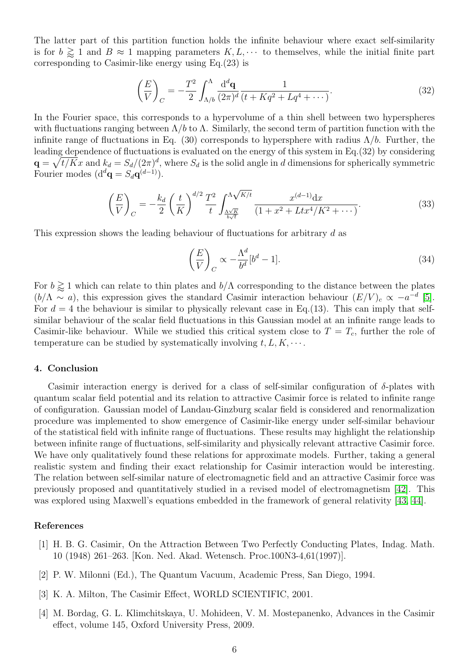The latter part of this partition function holds the infinite behaviour where exact self-similarity is for  $b \gtrsim 1$  and  $B \approx 1$  mapping parameters  $K, L, \cdots$  to themselves, while the initial finite part corresponding to Casimir-like energy using Eq.(23) is

$$
\left(\frac{E}{V}\right)_C = -\frac{T^2}{2} \int_{\Lambda/b}^{\Lambda} \frac{\mathrm{d}^d \mathbf{q}}{(2\pi)^d} \frac{1}{(t + Kq^2 + Lq^4 + \cdots)}.
$$
\n(32)

In the Fourier space, this corresponds to a hypervolume of a thin shell between two hyperspheres with fluctuations ranging between  $\Lambda/b$  to  $\Lambda$ . Similarly, the second term of partition function with the infinite range of fluctuations in Eq. (30) corresponds to hypersphere with radius  $\Lambda/b$ . Further, the leading dependence of fluctuations is evaluated on the energy of this system in Eq.(32) by considering  $\mathbf{q} = \sqrt{t/K}x$  and  $k_d = S_d/(2\pi)^d$ , where  $S_d$  is the solid angle in d dimensions for spherically symmetric Fourier modes  $(d^d\mathbf{q} = S_d\mathbf{q}^{(d-1)})$ .

$$
\left(\frac{E}{V}\right)_C = -\frac{k_d}{2} \left(\frac{t}{K}\right)^{d/2} \frac{T^2}{t} \int_{\frac{\Lambda\sqrt{K}}{b\sqrt{t}}}^{\Lambda\sqrt{K/t}} \frac{x^{(d-1)}dx}{(1+x^2+Lt^4/K^2+\cdots)}.
$$
\n(33)

This expression shows the leading behaviour of fluctuations for arbitrary d as

$$
\left(\frac{E}{V}\right)_C \propto -\frac{\Lambda^d}{b^d} [b^d - 1].\tag{34}
$$

For  $b \gtrapprox 1$  which can relate to thin plates and  $b/\Lambda$  corresponding to the distance between the plates  $(b/\Lambda \sim a)$ , this expression gives the standard Casimir interaction behaviour  $(E/V)_c \propto -a^{-d}$  [\[5\]](#page-6-0). For  $d = 4$  the behaviour is similar to physically relevant case in Eq.(13). This can imply that selfsimilar behaviour of the scalar field fluctuations in this Gaussian model at an infinite range leads to Casimir-like behaviour. While we studied this critical system close to  $T = T_c$ , further the role of temperature can be studied by systematically involving  $t, L, K, \cdots$ .

#### 4. Conclusion

Casimir interaction energy is derived for a class of self-similar configuration of  $\delta$ -plates with quantum scalar field potential and its relation to attractive Casimir force is related to infinite range of configuration. Gaussian model of Landau-Ginzburg scalar field is considered and renormalization procedure was implemented to show emergence of Casimir-like energy under self-similar behaviour of the statistical field with infinite range of fluctuations. These results may highlight the relationship between infinite range of fluctuations, self-similarity and physically relevant attractive Casimir force. We have only qualitatively found these relations for approximate models. Further, taking a general realistic system and finding their exact relationship for Casimir interaction would be interesting. The relation between self-similar nature of electromagnetic field and an attractive Casimir force was previously proposed and quantitatively studied in a revised model of electromagnetism [\[42\]](#page-7-14). This was explored using Maxwell's equations embedded in the framework of general relativity [\[43,](#page-7-15) [44\]](#page-7-16).

# References

- <span id="page-5-0"></span>[1] H. B. G. Casimir, On the Attraction Between Two Perfectly Conducting Plates, Indag. Math. 10 (1948) 261–263. [Kon. Ned. Akad. Wetensch. Proc.100N3-4,61(1997)].
- <span id="page-5-1"></span>[2] P. W. Milonni (Ed.), The Quantum Vacuum, Academic Press, San Diego, 1994.
- <span id="page-5-2"></span>[3] K. A. Milton, The Casimir Effect, WORLD SCIENTIFIC, 2001.
- <span id="page-5-3"></span>[4] M. Bordag, G. L. Klimchitskaya, U. Mohideen, V. M. Mostepanenko, Advances in the Casimir effect, volume 145, Oxford University Press, 2009.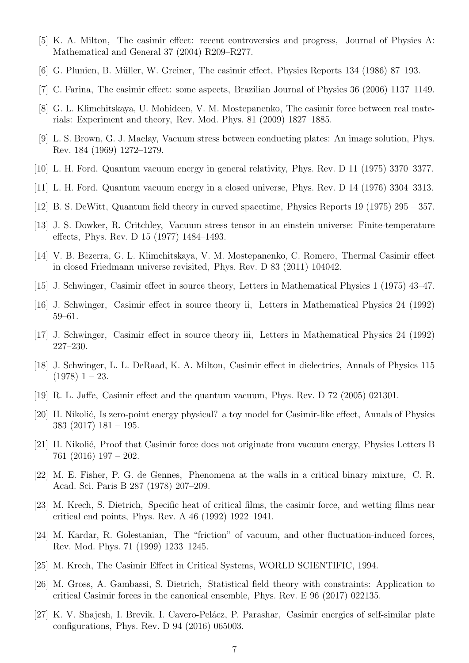- <span id="page-6-0"></span>[5] K. A. Milton, The casimir effect: recent controversies and progress, Journal of Physics A: Mathematical and General 37 (2004) R209–R277.
- <span id="page-6-1"></span>[6] G. Plunien, B. Müller, W. Greiner, The casimir effect, Physics Reports 134 (1986) 87–193.
- <span id="page-6-2"></span>[7] C. Farina, The casimir effect: some aspects, Brazilian Journal of Physics 36 (2006) 1137–1149.
- <span id="page-6-3"></span>[8] G. L. Klimchitskaya, U. Mohideen, V. M. Mostepanenko, The casimir force between real materials: Experiment and theory, Rev. Mod. Phys. 81 (2009) 1827–1885.
- <span id="page-6-4"></span>[9] L. S. Brown, G. J. Maclay, Vacuum stress between conducting plates: An image solution, Phys. Rev. 184 (1969) 1272–1279.
- <span id="page-6-5"></span>[10] L. H. Ford, Quantum vacuum energy in general relativity, Phys. Rev. D 11 (1975) 3370–3377.
- <span id="page-6-6"></span>[11] L. H. Ford, Quantum vacuum energy in a closed universe, Phys. Rev. D 14 (1976) 3304–3313.
- <span id="page-6-7"></span>[12] B. S. DeWitt, Quantum field theory in curved spacetime, Physics Reports 19 (1975) 295 – 357.
- <span id="page-6-8"></span>[13] J. S. Dowker, R. Critchley, Vacuum stress tensor in an einstein universe: Finite-temperature effects, Phys. Rev. D 15 (1977) 1484–1493.
- <span id="page-6-9"></span>[14] V. B. Bezerra, G. L. Klimchitskaya, V. M. Mostepanenko, C. Romero, Thermal Casimir effect in closed Friedmann universe revisited, Phys. Rev. D 83 (2011) 104042.
- <span id="page-6-10"></span>[15] J. Schwinger, Casimir effect in source theory, Letters in Mathematical Physics 1 (1975) 43–47.
- <span id="page-6-11"></span>[16] J. Schwinger, Casimir effect in source theory ii, Letters in Mathematical Physics 24 (1992) 59–61.
- <span id="page-6-12"></span>[17] J. Schwinger, Casimir effect in source theory iii, Letters in Mathematical Physics 24 (1992) 227–230.
- <span id="page-6-13"></span>[18] J. Schwinger, L. L. DeRaad, K. A. Milton, Casimir effect in dielectrics, Annals of Physics 115  $(1978)$  1 – 23.
- <span id="page-6-14"></span>[19] R. L. Jaffe, Casimir effect and the quantum vacuum, Phys. Rev. D 72 (2005) 021301.
- <span id="page-6-15"></span>[20] H. Nikolić, Is zero-point energy physical? a toy model for Casimir-like effect, Annals of Physics 383 (2017) 181 – 195.
- <span id="page-6-16"></span>[21] H. Nikolić, Proof that Casimir force does not originate from vacuum energy, Physics Letters B 761 (2016) 197 – 202.
- <span id="page-6-17"></span>[22] M. E. Fisher, P. G. de Gennes, Phenomena at the walls in a critical binary mixture, C. R. Acad. Sci. Paris B 287 (1978) 207–209.
- <span id="page-6-18"></span>[23] M. Krech, S. Dietrich, Specific heat of critical films, the casimir force, and wetting films near critical end points, Phys. Rev. A 46 (1992) 1922–1941.
- <span id="page-6-19"></span>[24] M. Kardar, R. Golestanian, The "friction" of vacuum, and other fluctuation-induced forces, Rev. Mod. Phys. 71 (1999) 1233–1245.
- <span id="page-6-20"></span>[25] M. Krech, The Casimir Effect in Critical Systems, WORLD SCIENTIFIC, 1994.
- <span id="page-6-21"></span>[26] M. Gross, A. Gambassi, S. Dietrich, Statistical field theory with constraints: Application to critical Casimir forces in the canonical ensemble, Phys. Rev. E 96 (2017) 022135.
- <span id="page-6-22"></span>[27] K. V. Shajesh, I. Brevik, I. Cavero-Peláez, P. Parashar, Casimir energies of self-similar plate configurations, Phys. Rev. D 94 (2016) 065003.